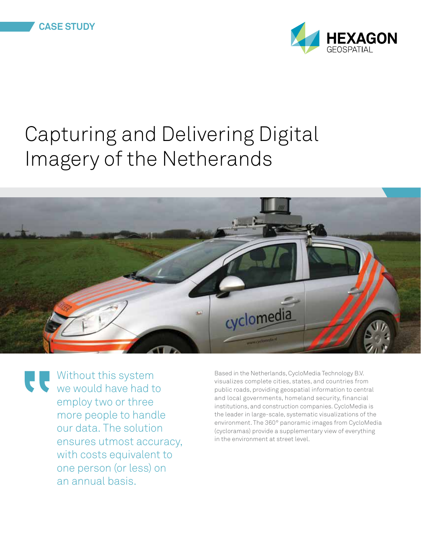

## Capturing and Delivering Digital Imagery of the Netherands



Without this system we would have had to employ two or three more people to handle our data. The solution ensures utmost accuracy, with costs equivalent to one person (or less) on an annual basis.

Based in the Netherlands, CycloMedia Technology B.V. visualizes complete cities, states, and countries from public roads, providing geospatial information to central and local governments, homeland security, financial institutions, and construction companies. CycloMedia is the leader in large-scale, systematic visualizations of the environment. The 360° panoramic images from CycloMedia (cycloramas) provide a supplementary view of everything in the environment at street level.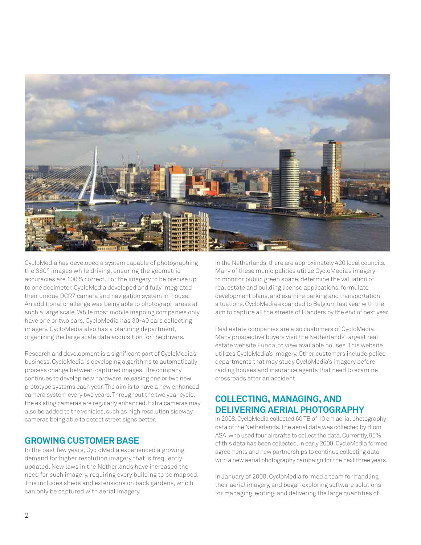

CycloMedia has developed a system capable of photographing the 360° images while driving, ensuring the geometric accuracies are 100% correct. For the imagery to be precise up to one decimeter, CycloMedia developed and fully integrated their unique DCR7 camera and navigation system in-house. An additional challenge was being able to photograph areas at such a large scale. While most mobile mapping companies only have one or two cars, CycloMedia has 30-40 cars collecting imagery. CycloMedia also has a planning department, organizing the large scale data acquisition for the drivers.

Research and development is a significant part of CycloMedia's business. CycloMedia is developing algorithms to automatically process change between captured images. The company continues to develop new hardware, releasing one or two new prototype systems each year. The aim is to have a new enhanced camera system every two years. Throughout the two year cycle, the existing cameras are regularly enhanced. Extra cameras may also be added to the vehicles, such as high resolution sideway cameras being able to detect street signs better.

## **Growing Customer Base**

In the past few years, CycloMedia experienced a growing demand for higher resolution imagery that is frequently updated. New laws in the Netherlands have increased the need for such imagery, requiring every building to be mapped. This includes sheds and extensions on back gardens, which can only be captured with aerial imagery.

In the Netherlands, there are approximately 420 local councils. Many of these municipalities utilize CycloMedia's imagery to monitor public green space, determine the valuation of real estate and building license applications, formulate development plans, and examine parking and transportation situations. CycloMedia expanded to Belgium last year with the aim to capture all the streets of Flanders by the end of next year.

Real estate companies are also customers of CycloMedia. Many prospective buyers visit the Netherlands' largest real estate website Funda, to view available houses. This website utilizes CycloMedia's imagery. Other customers include police departments that may study CycloMedia's imagery before raiding houses and insurance agents that need to examine crossroads after an accident.

## **Collecting, Managing, and Delivering Aerial Photography**

In 2008, CycloMedia collected 60 TB of 10 cm aerial photography data of the Netherlands. The aerial data was collected by Blom ASA, who used four aircrafts to collect the data. Currently, 95% of this data has been collected. In early 2009, CycloMedia formed agreements and new partnerships to continue collecting data with a new aerial photography campaign for the next three years.

In January of 2008, CycloMedia formed a team for handling their aerial imagery, and began exploring software solutions for managing, editing, and delivering the large quantities of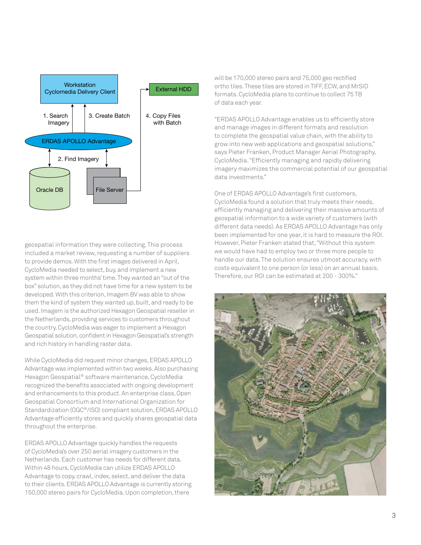

geospatial information they were collecting. This process included a market review, requesting a number of suppliers to provide demos. With the first images delivered in April, CycloMedia needed to select, buy, and implement a new system within three months' time. They wanted an "out of the box" solution, as they did not have time for a new system to be developed. With this criterion, Imagem BV was able to show them the kind of system they wanted up, built, and ready to be used. Imagem is the authorized Hexagon Geospatial reseller in the Netherlands, providing services to customers throughout the country. CycloMedia was eager to implement a Hexagon Geospatial solution, confident in Hexagon Geospatial's strength and rich history in handling raster data.

While CycloMedia did request minor changes, ERDAS APOLLO Advantage was implemented within two weeks. Also purchasing Hexagon Geospatial® software maintenance, CycloMedia recognized the benefits associated with ongoing development and enhancements to this product. An enterprise class, Open Geospatial Consortium and International Organization for Standardization (OGC®/ISO) compliant solution, ERDAS APOLLO Advantage efficiently stores and quickly shares geospatial data throughout the enterprise.

ERDAS APOLLO Advantage quickly handles the requests of CycloMedia's over 250 aerial imagery customers in the Netherlands. Each customer has needs for different data. Within 48 hours, CycloMedia can utilize ERDAS APOLLO Advantage to copy, crawl, index, select, and deliver the data to their clients. ERDAS APOLLO Advantage is currently storing 150,000 stereo pairs for CycloMedia. Upon completion, there

will be 170,000 stereo pairs and 75,000 geo rectified ortho tiles. These tiles are stored in TIFF, ECW, and MrSID formats. CycloMedia plans to continue to collect 75 TB of data each year.

"ERDAS APOLLO Advantage enables us to efficiently store and manage images in different formats and resolution to complete the geospatial value chain, with the ability to grow into new web applications and geospatial solutions," says Pieter Franken, Product Manager Aerial Photography, CycloMedia. "Efficiently managing and rapidly delivering imagery maximizes the commercial potential of our geospatial data investments."

One of ERDAS APOLLO Advantage's first customers, CycloMedia found a solution that truly meets their needs, efficiently managing and delivering their massive amounts of geospatial information to a wide variety of customers (with different data needs). As ERDAS APOLLO Advantage has only been implemented for one year, it is hard to measure the ROI. However, Pieter Franken stated that, "Without this system we would have had to employ two or three more people to handle our data. The solution ensures utmost accuracy, with costs equivalent to one person (or less) on an annual basis. Therefore, our ROI can be estimated at 200 - 300%."